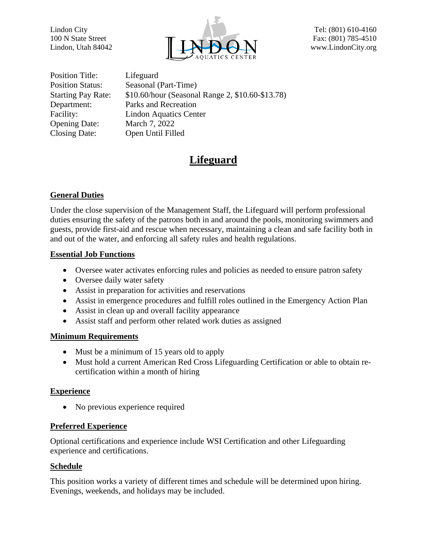

Position Title: Lifeguard Opening Date: March 7, 2022 Closing Date: Open Until Filled

Position Status: Seasonal (Part-Time) Starting Pay Rate: \$10.60/hour (Seasonal Range 2, \$10.60-\$13.78) Department: Parks and Recreation Facility: Lindon Aquatics Center

# **Lifeguard**

## **General Duties**

Under the close supervision of the Management Staff, the Lifeguard will perform professional duties ensuring the safety of the patrons both in and around the pools, monitoring swimmers and guests, provide first-aid and rescue when necessary, maintaining a clean and safe facility both in and out of the water, and enforcing all safety rules and health regulations.

### **Essential Job Functions**

- Oversee water activates enforcing rules and policies as needed to ensure patron safety
- Oversee daily water safety
- Assist in preparation for activities and reservations
- Assist in emergence procedures and fulfill roles outlined in the Emergency Action Plan
- Assist in clean up and overall facility appearance
- Assist staff and perform other related work duties as assigned

#### **Minimum Requirements**

- Must be a minimum of 15 years old to apply
- Must hold a current American Red Cross Lifeguarding Certification or able to obtain recertification within a month of hiring

## **Experience**

• No previous experience required

#### **Preferred Experience**

Optional certifications and experience include WSI Certification and other Lifeguarding experience and certifications.

#### **Schedule**

This position works a variety of different times and schedule will be determined upon hiring. Evenings, weekends, and holidays may be included.